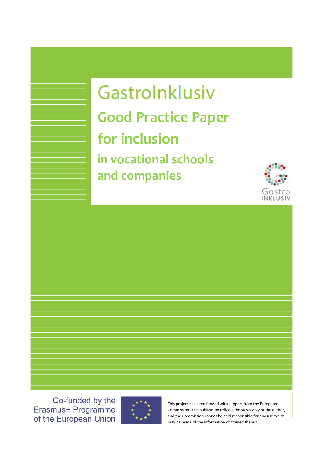# Gastrolnklusiv **Good Practice Paper for inclusion in vocational schools and companies**



Co-funded by the Erasmus+ Programme of the European Union



This project has been funded with support from the European Commission. This publication reflects the views only of the author, and the Commission cannot be held responsible for any use which may be made of the information contained therein.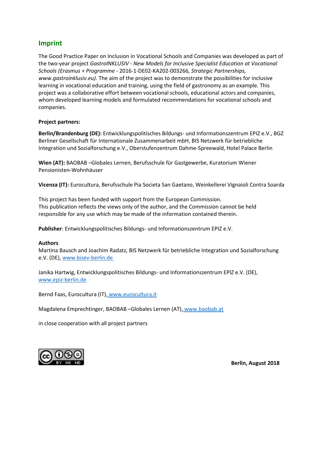## **Imprint**

The Good Practice Paper on Inclusion in Vocational Schools and Companies was developed as part of the two-year project *GastroINKLUSIV - New Models for Inclusive Specialist Education at Vocational Schools (Erasmus + Programme* - 2016-1-DE02-KA202-003266*, Strategic Partnerships, www.gastroinklusiv.eu).* The aim of the project was to demonstrate the possibilities for inclusive learning in vocational education and training, using the field of gastronomy as an example. This project was a collaborative effort between vocational schools, educational actors and companies, whom developed learning models and formulated recommendations for vocational schools and companies.

#### **Project partners:**

**Berlin/Brandenburg (DE):** Entwicklungspolitisches Bildungs- und Informationszentrum EPIZ e.V., BGZ Berliner Gesellschaft für Internationale Zusammenarbeit mbH, BIS Netzwerk für betriebliche Integration und Sozialforschung e.V., Oberstufenzentrum Dahme-Spreewald, Hotel Palace Berlin

**Wien (AT):** BAOBAB –Globales Lernen, Berufsschule für Gastgewerbe, Kuratorium Wiener Pensionisten-Wohnhäuser

**Vicenza (IT):** Eurocultura, Berufsschule Pia Societa San Gaetano, Weinkellerei Vignaioli Contra Soarda

This project has been funded with support from the European Commission. This publication reflects the views only of the author, and the Commission cannot be held responsible for any use which may be made of the information contained therein.

**Publisher**: Entwicklungspolitisches Bildungs- und Informationszentrum EPIZ e.V.

#### **Authors**

Martina Bausch and Joachim Radatz, BIS Netzwerk für betriebliche Integration und Sozialforschung e.V. (DE), www.bisev-berlin.de

Janika Hartwig, Entwicklungspolitisches Bildungs- und Informationszentrum EPIZ e.V. (DE), [www.epiz-berlin.de](http://www.epiz-berlin.de/)

Bernd Faas, Eurocultura (IT), www.eurocultura.it

Magdalena Emprechtinger, BAOBAB –Globales Lernen (AT), [www.baobab.at](http://www.baobab.at/)

in close cooperation with all project partners



**Berlin, August 2018**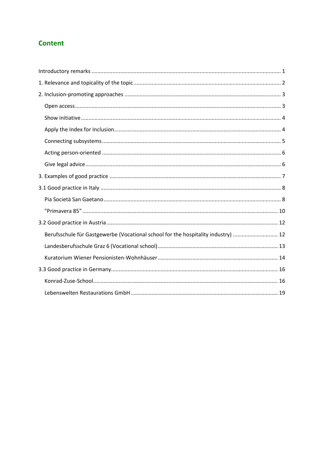# **Content**

| Berufsschule für Gastgewerbe (Vocational school for the hospitality industry)  12 |
|-----------------------------------------------------------------------------------|
|                                                                                   |
|                                                                                   |
|                                                                                   |
|                                                                                   |
|                                                                                   |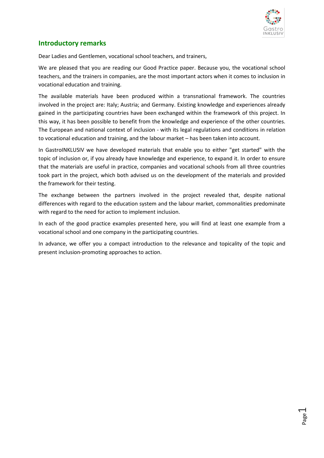

## <span id="page-4-0"></span>**Introductory remarks**

Dear Ladies and Gentlemen, vocational school teachers, and trainers,

We are pleased that you are reading our Good Practice paper. Because you, the vocational school teachers, and the trainers in companies, are the most important actors when it comes to inclusion in vocational education and training.

The available materials have been produced within a transnational framework. The countries involved in the project are: Italy; Austria; and Germany. Existing knowledge and experiences already gained in the participating countries have been exchanged within the framework of this project. In this way, it has been possible to benefit from the knowledge and experience of the other countries. The European and national context of inclusion - with its legal regulations and conditions in relation to vocational education and training, and the labour market – has been taken into account.

In GastroINKLUSIV we have developed materials that enable you to either "get started" with the topic of inclusion or, if you already have knowledge and experience, to expand it. In order to ensure that the materials are useful in practice, companies and vocational schools from all three countries took part in the project, which both advised us on the development of the materials and provided the framework for their testing.

The exchange between the partners involved in the project revealed that, despite national differences with regard to the education system and the labour market, commonalities predominate with regard to the need for action to implement inclusion.

In each of the good practice examples presented here, you will find at least one example from a vocational school and one company in the participating countries.

In advance, we offer you a compact introduction to the relevance and topicality of the topic and present inclusion-promoting approaches to action.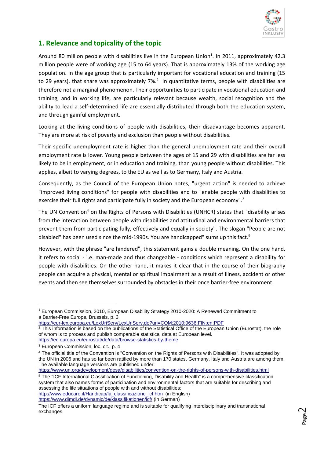

# <span id="page-5-0"></span>**1. Relevance and topicality of the topic**

Around 80 million people with disabilities live in the European Union<sup>1</sup>. In 2011, approximately 42.3 million people were of working age (15 to 64 years). That is approximately 13% of the working age population. In the age group that is particularly important for vocational education and training (15 to 29 years), that share was approximately 7%.<sup>2</sup> In quantitative terms, people with disabilities are therefore not a marginal phenomenon. Their opportunities to participate in vocational education and training, and in working life, are particularly relevant because wealth, social recognition and the ability to lead a self-determined life are essentially distributed through both the education system, and through gainful employment.

Looking at the living conditions of people with disabilities, their disadvantage becomes apparent. They are more at risk of poverty and exclusion than people without disabilities.

Their specific unemployment rate is higher than the general unemployment rate and their overall employment rate is lower. Young people between the ages of 15 and 29 with disabilities are far less likely to be in employment, or in education and training, than young people without disabilities. This applies, albeit to varying degrees, to the EU as well as to Germany, Italy and Austria.

Consequently, as the Council of the European Union notes, "urgent action" is needed to achieve "improved living conditions" for people with disabilities and to "enable people with disabilities to exercise their full rights and participate fully in society and the European economy".<sup>3</sup>

The UN Convention<sup>4</sup> on the Rights of Persons with Disabilities (UNHCR) states that "disability arises from the interaction between people with disabilities and attitudinal and environmental barriers that prevent them from participating fully, effectively and equally in society". The slogan "People are not disabled" has been used since the mid-1990s. You are handicapped" sums up this fact.<sup>5</sup>

However, with the phrase "are hindered", this statement gains a double meaning. On the one hand, it refers to social - i.e. man-made and thus changeable - conditions which represent a disability for people with disabilities. On the other hand, it makes it clear that in the course of their biography people can acquire a physical, mental or spiritual impairment as a result of illness, accident or other events and then see themselves surrounded by obstacles in their once barrier-free environment.

**.** 

<https://www.un.org/development/desa/disabilities/convention-on-the-rights-of-persons-with-disabilities.html> <sup>5</sup> The "ICF International Classification of Functioning, Disability and Health" is a comprehensive classification system that also names forms of participation and environmental factors that are suitable for describing and assessing the life situations of people with and without disabilities:

http://www.educare.it/Handicap/la\_classificazione\_icf.htm (in English) <https://www.dimdi.de/dynamic/de/klassifikationen/icf/> (in German)

 $1$  European Commission, 2010, European Disability Strategy 2010-2020: A Renewed Commitment to a Barrier-Free Europe, Brussels, p. 3

<https://eur-lex.europa.eu/LexUriServ/LexUriServ.do?uri=COM:2010:0636:FIN:en:PDF>

<sup>&</sup>lt;sup>2</sup> This information is based on the publications of the Statistical Office of the European Union (Eurostat), the role of whom is to process and publish comparable statistical data at European level. <https://ec.europa.eu/eurostat/de/data/browse-statistics-by-theme>

<sup>3</sup> European Commission, loc. cit., p. 4

<sup>&</sup>lt;sup>4</sup> The official title of the Convention is "Convention on the Rights of Persons with Disabilities". It was adopted by the UN in 2006 and has so far been ratified by more than 170 states. Germany, Italy and Austria are among them. The available language versions are published under:

The ICF offers a uniform language regime and is suitable for qualifying interdisciplinary and transnational exchanges.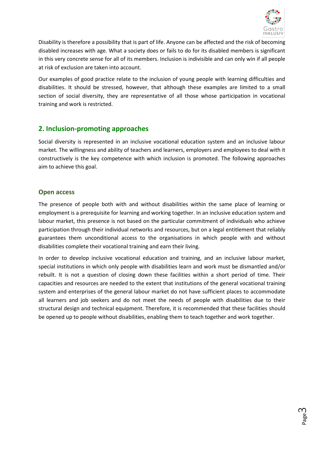

Disability is therefore a possibility that is part of life. Anyone can be affected and the risk of becoming disabled increases with age. What a society does or fails to do for its disabled members is significant in this very concrete sense for all of its members. Inclusion is indivisible and can only win if all people at risk of exclusion are taken into account.

Our examples of good practice relate to the inclusion of young people with learning difficulties and disabilities. It should be stressed, however, that although these examples are limited to a small section of social diversity, they are representative of all those whose participation in vocational training and work is restricted.

## <span id="page-6-0"></span>**2. Inclusion-promoting approaches**

Social diversity is represented in an inclusive vocational education system and an inclusive labour market. The willingness and ability of teachers and learners, employers and employees to deal with it constructively is the key competence with which inclusion is promoted. The following approaches aim to achieve this goal.

## <span id="page-6-1"></span>**Open access**

The presence of people both with and without disabilities within the same place of learning or employment is a prerequisite for learning and working together. In an inclusive education system and labour market, this presence is not based on the particular commitment of individuals who achieve participation through their individual networks and resources, but on a legal entitlement that reliably guarantees them unconditional access to the organisations in which people with and without disabilities complete their vocational training and earn their living.

In order to develop inclusive vocational education and training, and an inclusive labour market, special institutions in which only people with disabilities learn and work must be dismantled and/or rebuilt. It is not a question of closing down these facilities within a short period of time. Their capacities and resources are needed to the extent that institutions of the general vocational training system and enterprises of the general labour market do not have sufficient places to accommodate all learners and job seekers and do not meet the needs of people with disabilities due to their structural design and technical equipment. Therefore, it is recommended that these facilities should be opened up to people without disabilities, enabling them to teach together and work together.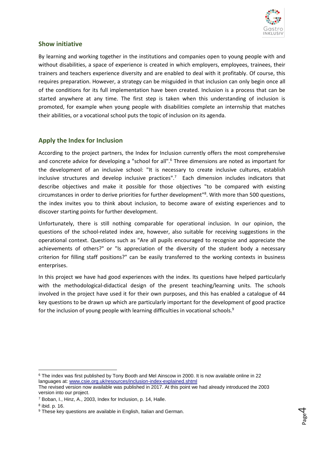

## <span id="page-7-0"></span>**Show initiative**

By learning and working together in the institutions and companies open to young people with and without disabilities, a space of experience is created in which employers, employees, trainees, their trainers and teachers experience diversity and are enabled to deal with it profitably. Of course, this requires preparation. However, a strategy can be misguided in that inclusion can only begin once all of the conditions for its full implementation have been created. Inclusion is a process that can be started anywhere at any time. The first step is taken when this understanding of inclusion is promoted, for example when young people with disabilities complete an internship that matches their abilities, or a vocational school puts the topic of inclusion on its agenda.

## <span id="page-7-1"></span>**Apply the Index for Inclusion**

According to the project partners, the Index for Inclusion currently offers the most comprehensive and concrete advice for developing a "school for all".<sup>6</sup> Three dimensions are noted as important for the development of an inclusive school: "It is necessary to create inclusive cultures, establish inclusive structures and develop inclusive practices".<sup>7</sup> Each dimension includes indicators that describe objectives and make it possible for those objectives "to be compared with existing circumstances in order to derive priorities for further development"<sup>8</sup> . With more than 500 questions, the index invites you to think about inclusion, to become aware of existing experiences and to discover starting points for further development.

Unfortunately, there is still nothing comparable for operational inclusion. In our opinion, the questions of the school-related index are, however, also suitable for receiving suggestions in the operational context. Questions such as "Are all pupils encouraged to recognise and appreciate the achievements of others?" or "Is appreciation of the diversity of the student body a necessary criterion for filling staff positions?" can be easily transferred to the working contexts in business enterprises.

In this project we have had good experiences with the index. Its questions have helped particularly with the methodological-didactical design of the present teaching/learning units. The schools involved in the project have used it for their own purposes, and this has enabled a catalogue of 44 key questions to be drawn up which are particularly important for the development of good practice for the inclusion of young people with learning difficulties in vocational schools.<sup>9</sup>

**.** 

<sup>6</sup> The index was first published by Tony Booth and Mel Ainscow in 2000. It is now available online in 22 languages at: [www.csie.org.uk/resources/inclusion-index-explained.shtml](http://www.csie.org.uk/resources/inclusion-index-explained.shtml)

The revised version now available was published in 2017. At this point we had already introduced the 2003 version into our project.

<sup>7</sup> Boban, I., Hinz, A., 2003, Index for Inclusion, p. 14, Halle.

<sup>8</sup> ibid. p. 16.

<sup>&</sup>lt;sup>9</sup> These key questions are available in English, Italian and German.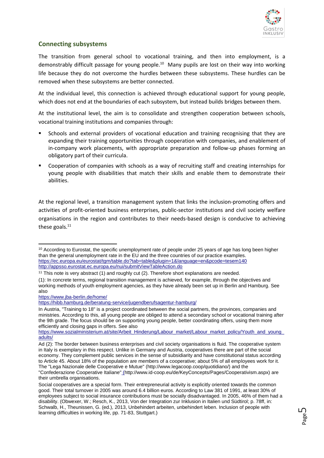

## <span id="page-8-0"></span>**Connecting subsystems**

The transition from general school to vocational training, and then into employment, is a demonstrably difficult passage for young people.<sup>10</sup> Many pupils are lost on their way into working life because they do not overcome the hurdles between these subsystems. These hurdles can be removed when these subsystems are better connected.

At the individual level, this connection is achieved through educational support for young people, which does not end at the boundaries of each subsystem, but instead builds bridges between them.

At the institutional level, the aim is to consolidate and strengthen cooperation between schools, vocational training institutions and companies through:

- Schools and external providers of vocational education and training recognising that they are expanding their training opportunities through cooperation with companies, and enablement of in-company work placements, with appropriate preparation and follow-up phases forming an obligatory part of their curricula.
- Cooperation of companies with schools as a way of recruiting staff and creating internships for young people with disabilities that match their skills and enable them to demonstrate their abilities.

At the regional level, a transition management system that links the inclusion-promoting offers and activities of profit-oriented business enterprises, public-sector institutions and civil society welfare organisations in the region and contributes to their needs-based design is conducive to achieving these goals.<sup>11</sup>

<https://www.jba-berlin.de/home/>

1

<sup>&</sup>lt;sup>10</sup> According to Eurostat, the specific unemployment rate of people under 25 years of age has long been higher than the general unemployment rate in the EU and the three countries of our practice examples. [https://ec.europa.eu/eurostat/tgm/table.do?tab=table&plugin=1&language=en&pcode=tesem140](https://ec.europa.eu/eurostat/tgm/table.do?tab=table&plugin=1&language=de&pcode=tesem140) <http://appsso.eurostat.ec.europa.eu/nui/submitViewTableAction.do>

<sup>&</sup>lt;sup>11</sup> This note is very abstract (1) and roughly cut (2). Therefore short explanations are needed. (1): In concrete terms, regional transition management is achieved, for example, through the objectives and working methods of youth employment agencies, as they have already been set up in Berlin and Hamburg. See also

<https://hibb.hamburg.de/beratung-service/jugendberufsagentur-hamburg/>

In Austria, "Training to 18" is a project coordinated between the social partners, the provinces, companies and ministries. According to this, all young people are obliged to attend a secondary school or vocational training after the 9th grade. The focus should be on supporting young people, better coordinating offers, using them more efficiently and closing gaps in offers. See also

https://www.sozialministerium.at/site/Arbeit\_Hinderung/Labour\_market/Labour\_market\_policy/Youth\_and\_young [adults/](https://www.sozialministerium.at/site/Arbeit_Behinderung/Arbeitsmarkt/Arbeitsmarktpolitik/Jugendliche_und_junge_Erwachsene/)

Ad (2): The border between business enterprises and civil society organisations is fluid. The cooperative system in Italy is exemplary in this respect. Unlike in Germany and Austria, cooperatives there are part of the social economy. They complement public services in the sense of subsidiarity and have constitutional status according to Article 45. About 18% of the population are members of a cooperative; about 5% of all employees work for it. The "Lega Nazionale delle Cooperative e Mutue" [\(http://www.legacoop.coop/quotidiano/\)](http://www.legacoop.coop/quotidiano/) and the

<sup>&</sup>quot;Confederazione Cooperative Italiane" [\(http://www.id-coop.eu/de/KeyConcepts/Pages/Cooperativism.aspx\)](http://www.id-coop.eu/de/KeyConcepts/Pages/Cooperativism.aspx) are their umbrella organisations.

Social cooperatives are a special form. Their entrepreneurial activity is explicitly oriented towards the common good. Their total turnover in 2005 was around 6.4 billion euros. According to Law 381 of 1991, at least 30% of employees subject to social insurance contributions must be socially disadvantaged. In 2005, 46% of them had a disability. (Obwexer, W.; Resch, K., 2013, Von der Integration zur Inklusion in Italien und Südtirol; p. 78ff, in: Schwalb, H., Theunissen, G. (ed.), 2013, Unbehindert arbeiten, unbehindert leben. Inclusion of people with learning difficulties in working life, pp. 71-83, Stuttgart.)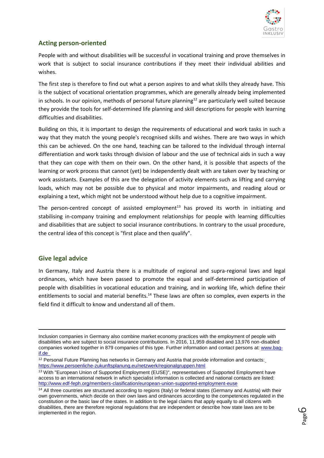

## <span id="page-9-0"></span>**Acting person-oriented**

People with and without disabilities will be successful in vocational training and prove themselves in work that is subject to social insurance contributions if they meet their individual abilities and wishes.

The first step is therefore to find out what a person aspires to and what skills they already have. This is the subject of vocational orientation programmes, which are generally already being implemented in schools. In our opinion, methods of personal future planning<sup>12</sup> are particularly well suited because they provide the tools for self-determined life planning and skill descriptions for people with learning difficulties and disabilities.

Building on this, it is important to design the requirements of educational and work tasks in such a way that they match the young people's recognised skills and wishes. There are two ways in which this can be achieved. On the one hand, teaching can be tailored to the individual through internal differentiation and work tasks through division of labour and the use of technical aids in such a way that they can cope with them on their own. On the other hand, it is possible that aspects of the learning or work process that cannot (yet) be independently dealt with are taken over by teaching or work assistants. Examples of this are the delegation of activity elements such as lifting and carrying loads, which may not be possible due to physical and motor impairments, and reading aloud or explaining a text, which might not be understood without help due to a cognitive impairment.

The person-centred concept of assisted employment<sup>13</sup> has proved its worth in initiating and stabilising in-company training and employment relationships for people with learning difficulties and disabilities that are subject to social insurance contributions. In contrary to the usual procedure, the central idea of this concept is "first place and then qualify".

## <span id="page-9-1"></span>**Give legal advice**

 $\overline{a}$ 

In Germany, Italy and Austria there is a multitude of regional and supra-regional laws and legal ordinances, which have been passed to promote the equal and self-determined participation of people with disabilities in vocational education and training, and in working life, which define their entitlements to social and material benefits.<sup>14</sup> These laws are often so complex, even experts in the field find it difficult to know and understand all of them.

Inclusion companies in Germany also combine market economy practices with the employment of people with disabilities who are subject to social insurance contributions. In 2016, 11,959 disabled and 13,976 non-disabled companies worked together in 879 companies of this type. Further information and contact persons at: [www.bag](http://www.bag-if.de/)[if.de](http://www.bag-if.de/)

<sup>&</sup>lt;sup>12</sup> Personal Future Planning has networks in Germany and Austria that provide information and contact[s:](https://www.persoenliche-zukunftsplanung.eu/netzwerk/regionalgruppen.html) <https://www.persoenliche-zukunftsplanung.eu/netzwerk/regionalgruppen.html>

<sup>&</sup>lt;sup>13</sup> With "European Union of Supported Employment (EUSE)", representatives of Supported Employment have access to an international network in which specialist information is collected and national contacts are listed: <http://www.edf-feph.org/members-clasification/european-union-supported-employment-euse>

<sup>&</sup>lt;sup>14</sup> All three countries are structured according to regions (Italy) or federal states (Germany and Austria) with their own governments, which decide on their own laws and ordinances according to the competences regulated in the constitution or the basic law of the states. In addition to the legal claims that apply equally to all citizens with disabilities, there are therefore regional regulations that are independent or describe how state laws are to be implemented in the region.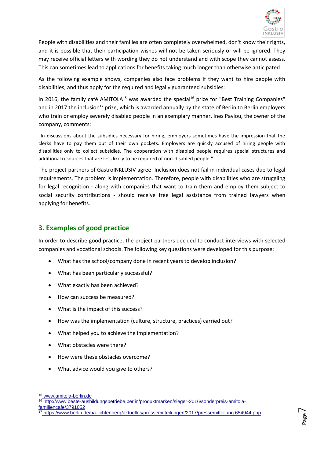

People with disabilities and their families are often completely overwhelmed, don't know their rights, and it is possible that their participation wishes will not be taken seriously or will be ignored. They may receive official letters with wording they do not understand and with scope they cannot assess. This can sometimes lead to applications for benefits taking much longer than otherwise anticipated.

As the following example shows, companies also face problems if they want to hire people with disabilities, and thus apply for the required and legally guaranteed subsidies:

In 2016, the family café AMITOLA<sup>15</sup> was awarded the special<sup>16</sup> prize for "Best Training Companies" and in 2017 the inclusion<sup>17</sup> prize, which is awarded annually by the state of Berlin to Berlin employers who train or employ severely disabled people in an exemplary manner. Ines Pavlou, the owner of the company, comments:

"In discussions about the subsidies necessary for hiring, employers sometimes have the impression that the clerks have to pay them out of their own pockets. Employers are quickly accused of hiring people with disabilities only to collect subsidies. The cooperation with disabled people requires special structures and additional resources that are less likely to be required of non-disabled people."

The project partners of GastroINKLUSIV agree: Inclusion does not fail in individual cases due to legal requirements. The problem is implementation. Therefore, people with disabilities who are struggling for legal recognition - along with companies that want to train them and employ them subject to social security contributions - should receive free legal assistance from trained lawyers when applying for benefits.

## <span id="page-10-0"></span>**3. Examples of good practice**

In order to describe good practice, the project partners decided to conduct interviews with selected companies and vocational schools. The following key questions were developed for this purpose:

- What has the school/company done in recent years to develop inclusion?
- What has been particularly successful?
- What exactly has been achieved?
- How can success be measured?
- What is the impact of this success?
- How was the implementation (culture, structure, practices) carried out?
- What helped you to achieve the implementation?
- What obstacles were there?
- How were these obstacles overcome?
- What advice would you give to others?

**.** 

<sup>15</sup> www.amitola-berlin.de

<sup>16</sup> http://www.beste-ausbildungsbetriebe.berlin/produktmarken/sieger-2016/sonderpreis-amitolafamiliencafe/3791052

<sup>17</sup> <https://www.berlin.de/ba-lichtenberg/aktuelles/pressemitteilungen/2017/pressemitteilung.654944.php>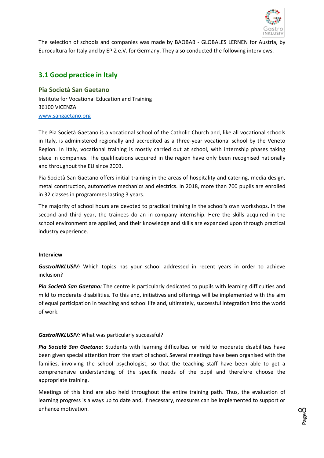

The selection of schools and companies was made by BAOBAB - GLOBALES LERNEN for Austria, by Eurocultura for Italy and by EPIZ e.V. for Germany. They also conducted the following interviews.

## <span id="page-11-0"></span>**3.1 Good practice in Italy**

<span id="page-11-1"></span>**Pia Società San Gaetano** Institute for Vocational Education and Training 36100 VICENZA [www.sangaetano.org](http://www.sangaetano.org/)

The Pia Società Gaetano is a vocational school of the Catholic Church and, like all vocational schools in Italy, is administered regionally and accredited as a three-year vocational school by the Veneto Region. In Italy, vocational training is mostly carried out at school, with internship phases taking place in companies. The qualifications acquired in the region have only been recognised nationally and throughout the EU since 2003.

Pia Società San Gaetano offers initial training in the areas of hospitality and catering, media design, metal construction, automotive mechanics and electrics. In 2018, more than 700 pupils are enrolled in 32 classes in programmes lasting 3 years.

The majority of school hours are devoted to practical training in the school's own workshops. In the second and third year, the trainees do an in-company internship. Here the skills acquired in the school environment are applied, and their knowledge and skills are expanded upon through practical industry experience.

#### **Interview**

*GastroINKLUSIV:* Which topics has your school addressed in recent years in order to achieve inclusion?

*Pia Società San Gaetano:* The centre is particularly dedicated to pupils with learning difficulties and mild to moderate disabilities. To this end, initiatives and offerings will be implemented with the aim of equal participation in teaching and school life and, ultimately, successful integration into the world of work.

#### *GastroINKLUSIV:* What was particularly successful?

*Pia Società San Gaetano:* Students with learning difficulties or mild to moderate disabilities have been given special attention from the start of school. Several meetings have been organised with the families, involving the school psychologist, so that the teaching staff have been able to get a comprehensive understanding of the specific needs of the pupil and therefore choose the appropriate training.

Meetings of this kind are also held throughout the entire training path. Thus, the evaluation of learning progress is always up to date and, if necessary, measures can be implemented to support or enhance motivation.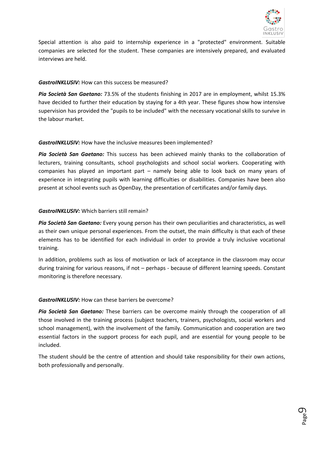

Special attention is also paid to internship experience in a "protected" environment. Suitable companies are selected for the student. These companies are intensively prepared, and evaluated interviews are held.

#### *GastroINKLUSIV:* How can this success be measured?

*Pia Società San Gaetano:* 73.5% of the students finishing in 2017 are in employment, whilst 15.3% have decided to further their education by staying for a 4th year. These figures show how intensive supervision has provided the "pupils to be included" with the necessary vocational skills to survive in the labour market.

#### *GastroINKLUSIV:* How have the inclusive measures been implemented?

*Pia Società San Gaetano:* This success has been achieved mainly thanks to the collaboration of lecturers, training consultants, school psychologists and school social workers. Cooperating with companies has played an important part – namely being able to look back on many years of experience in integrating pupils with learning difficulties or disabilities. Companies have been also present at school events such as OpenDay, the presentation of certificates and/or family days.

## *GastroINKLUSIV:* Which barriers still remain?

*Pia Società San Gaetano:* Every young person has their own peculiarities and characteristics, as well as their own unique personal experiences. From the outset, the main difficulty is that each of these elements has to be identified for each individual in order to provide a truly inclusive vocational training.

In addition, problems such as loss of motivation or lack of acceptance in the classroom may occur during training for various reasons, if not – perhaps - because of different learning speeds. Constant monitoring is therefore necessary.

#### *GastroINKLUSIV:* How can these barriers be overcome?

*Pia Società San Gaetano:* These barriers can be overcome mainly through the cooperation of all those involved in the training process (subject teachers, trainers, psychologists, social workers and school management), with the involvement of the family. Communication and cooperation are two essential factors in the support process for each pupil, and are essential for young people to be included.

The student should be the centre of attention and should take responsibility for their own actions, both professionally and personally.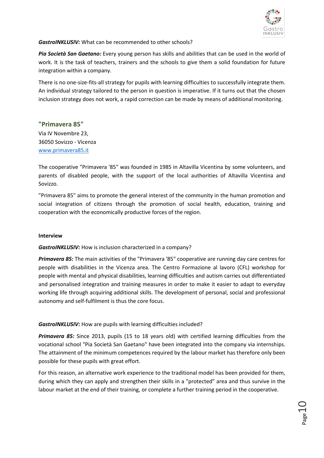

*GastroINKLUSIV:* What can be recommended to other schools?

*Pia Società San Gaetano:* Every young person has skills and abilities that can be used in the world of work. It is the task of teachers, trainers and the schools to give them a solid foundation for future integration within a company.

There is no one-size-fits-all strategy for pupils with learning difficulties to successfully integrate them. An individual strategy tailored to the person in question is imperative. If it turns out that the chosen inclusion strategy does not work, a rapid correction can be made by means of additional monitoring.

#### <span id="page-13-0"></span>**"Primavera 85"**

Via IV Novembre 23, 36050 Sovizzo - Vicenza [www.primavera85.it](http://www.primavera85.it/)

The cooperative "Primavera '85" was founded in 1985 in Altavilla Vicentina by some volunteers, and parents of disabled people, with the support of the local authorities of Altavilla Vicentina and Sovizzo.

"Primavera 85" aims to promote the general interest of the community in the human promotion and social integration of citizens through the promotion of social health, education, training and cooperation with the economically productive forces of the region.

#### **Interview**

*GastroINKLUSIV:* How is inclusion characterized in a company?

*Primavera 85:* The main activities of the "Primavera '85" cooperative are running day care centres for people with disabilities in the Vicenza area. The Centro Formazione al lavoro (CFL) workshop for people with mental and physical disabilities, learning difficulties and autism carries out differentiated and personalised integration and training measures in order to make it easier to adapt to everyday working life through acquiring additional skills. The development of personal, social and professional autonomy and self-fulfilment is thus the core focus.

#### *GastroINKLUSIV:* How are pupils with learning difficulties included?

*Primavera 85:* Since 2013, pupils (15 to 18 years old) with certified learning difficulties from the vocational school "Pia Società San Gaetano" have been integrated into the company via internships. The attainment of the minimum competences required by the labour market has therefore only been possible for these pupils with great effort.

For this reason, an alternative work experience to the traditional model has been provided for them, during which they can apply and strengthen their skills in a "protected" area and thus survive in the labour market at the end of their training, or complete a further training period in the cooperative.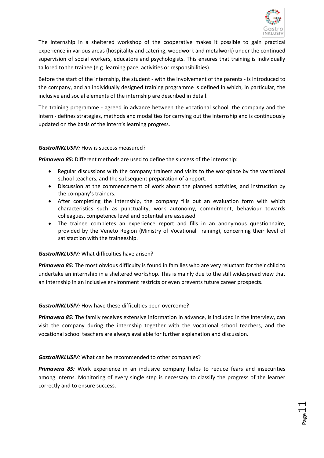

 $_{\rm Page}11$ 

The internship in a sheltered workshop of the cooperative makes it possible to gain practical experience in various areas (hospitality and catering, woodwork and metalwork) under the continued supervision of social workers, educators and psychologists. This ensures that training is individually tailored to the trainee (e.g. learning pace, activities or responsibilities).

Before the start of the internship, the student - with the involvement of the parents - is introduced to the company, and an individually designed training programme is defined in which, in particular, the inclusive and social elements of the internship are described in detail.

The training programme - agreed in advance between the vocational school, the company and the intern - defines strategies, methods and modalities for carrying out the internship and is continuously updated on the basis of the intern's learning progress.

#### *GastroINKLUSIV:* How is success measured?

*Primavera 85:* Different methods are used to define the success of the internship:

- Regular discussions with the company trainers and visits to the workplace by the vocational school teachers, and the subsequent preparation of a report.
- Discussion at the commencement of work about the planned activities, and instruction by the company's trainers.
- After completing the internship, the company fills out an evaluation form with which characteristics such as punctuality, work autonomy, commitment, behaviour towards colleagues, competence level and potential are assessed.
- The trainee completes an experience report and fills in an anonymous questionnaire, provided by the Veneto Region (Ministry of Vocational Training), concerning their level of satisfaction with the traineeship.

#### *GastroINKLUSIV:* What difficulties have arisen?

*Primavera 85:* The most obvious difficulty is found in families who are very reluctant for their child to undertake an internship in a sheltered workshop. This is mainly due to the still widespread view that an internship in an inclusive environment restricts or even prevents future career prospects.

#### *GastroINKLUSIV:* How have these difficulties been overcome?

*Primavera 85:* The family receives extensive information in advance, is included in the interview, can visit the company during the internship together with the vocational school teachers, and the vocational school teachers are always available for further explanation and discussion.

#### *GastroINKLUSIV:* What can be recommended to other companies?

**Primavera 85:** Work experience in an inclusive company helps to reduce fears and insecurities among interns. Monitoring of every single step is necessary to classify the progress of the learner correctly and to ensure success.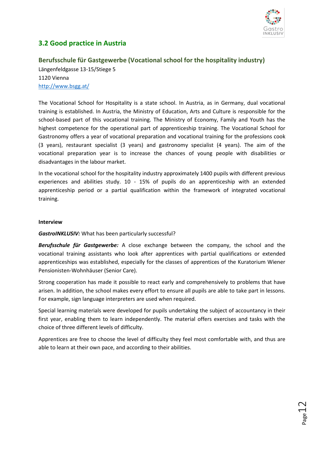

 $_{\rm Page}$ 12

# <span id="page-15-0"></span>**3.2 Good practice in Austria**

## <span id="page-15-1"></span>**Berufsschule für Gastgewerbe (Vocational school for the hospitality industry)**

Längenfeldgasse 13-15/Stiege 5 1120 Vienna <http://www.bsgg.at/>

The Vocational School for Hospitality is a state school. In Austria, as in Germany, dual vocational training is established. In Austria, the Ministry of Education, Arts and Culture is responsible for the school-based part of this vocational training. The Ministry of Economy, Family and Youth has the highest competence for the operational part of apprenticeship training. The Vocational School for Gastronomy offers a year of vocational preparation and vocational training for the professions cook (3 years), restaurant specialist (3 years) and gastronomy specialist (4 years). The aim of the vocational preparation year is to increase the chances of young people with disabilities or disadvantages in the labour market.

In the vocational school for the hospitality industry approximately 1400 pupils with different previous experiences and abilities study. 10 - 15% of pupils do an apprenticeship with an extended apprenticeship period or a partial qualification within the framework of integrated vocational training.

#### **Interview**

#### *GastroINKLUSIV:* What has been particularly successful?

*Berufsschule für Gastgewerbe:* A close exchange between the company, the school and the vocational training assistants who look after apprentices with partial qualifications or extended apprenticeships was established, especially for the classes of apprentices of the Kuratorium Wiener Pensionisten-Wohnhäuser (Senior Care).

Strong cooperation has made it possible to react early and comprehensively to problems that have arisen. In addition, the school makes every effort to ensure all pupils are able to take part in lessons. For example, sign language interpreters are used when required.

Special learning materials were developed for pupils undertaking the subject of accountancy in their first year, enabling them to learn independently. The material offers exercises and tasks with the choice of three different levels of difficulty.

Apprentices are free to choose the level of difficulty they feel most comfortable with, and thus are able to learn at their own pace, and according to their abilities.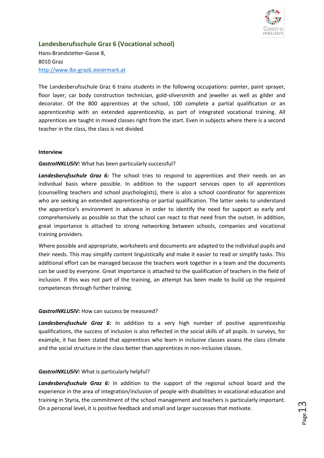

<span id="page-16-0"></span>**Landesberufsschule Graz 6 (Vocational school)** Hans-Brandstetter-Gasse 8, 8010 Graz [http://www.lbs-graz6.steiermark.at](http://www.lbs-graz6.steiermark.at/)

The Landesberufsschule Graz 6 trains students in the following occupations: painter, paint sprayer, floor layer, car body construction technician, gold-silversmith and jeweller as well as gilder and decorator. Of the 800 apprentices at the school, 100 complete a partial qualification or an apprenticeship with an extended apprenticeship, as part of integrated vocational training. All apprentices are taught in mixed classes right from the start. Even in subjects where there is a second teacher in the class, the class is not divided.

#### **Interview**

#### *GastroINKLUSIV:* What has been particularly successful?

Landesberufsschule Graz 6: The school tries to respond to apprentices and their needs on an individual basis where possible. In addition to the support services open to all apprentices (counselling teachers and school psychologists), there is also a school coordinator for apprentices who are seeking an extended apprenticeship or partial qualification. The latter seeks to understand the apprentice's environment in advance in order to identify the need for support as early and comprehensively as possible so that the school can react to that need from the outset. In addition, great importance is attached to strong networking between schools, companies and vocational training providers.

Where possible and appropriate, worksheets and documents are adapted to the individual pupils and their needs. This may simplify content linguistically and make it easier to read or simplify tasks. This additional effort can be managed because the teachers work together in a team and the documents can be used by everyone. Great importance is attached to the qualification of teachers in the field of inclusion. If this was not part of the training, an attempt has been made to build up the required competences through further training.

#### *GastroINKLUSIV:* How can success be measured?

*Landesberufsschule Graz 6:* In addition to a very high number of positive apprenticeship qualifications, the success of inclusion is also reflected in the social skills of all pupils. In surveys, for example, it has been stated that apprentices who learn in inclusive classes assess the class climate and the social structure in the class better than apprentices in non-inclusive classes.

#### *GastroINKLUSIV:* What is particularly helpful?

*Landesberufsschule Graz 6:* In addition to the support of the regional school board and the experience in the area of integration/inclusion of people with disabilities in vocational education and training in Styria, the commitment of the school management and teachers is particularly important. On a personal level, it is positive feedback and small and larger successes that motivate.

 $_{\rm page}$ 13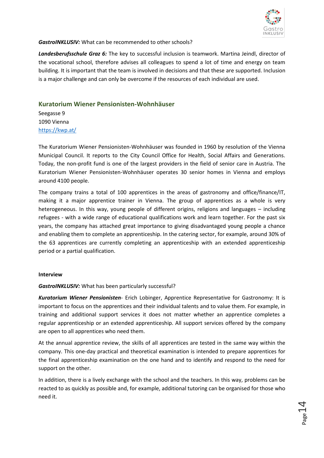

#### *GastroINKLUSIV:* What can be recommended to other schools?

*Landesberufsschule Graz 6:* The key to successful inclusion is teamwork. Martina Jeindl, director of the vocational school, therefore advises all colleagues to spend a lot of time and energy on team building. It is important that the team is involved in decisions and that these are supported. Inclusion is a major challenge and can only be overcome if the resources of each individual are used.

#### <span id="page-17-0"></span>**Kuratorium Wiener Pensionisten-Wohnhäuser**

Seegasse 9 1090 Vienna <https://kwp.at/>

The Kuratorium Wiener Pensionisten-Wohnhäuser was founded in 1960 by resolution of the Vienna Municipal Council. It reports to the City Council Office for Health, Social Affairs and Generations. Today, the non-profit fund is one of the largest providers in the field of senior care in Austria. The Kuratorium Wiener Pensionisten-Wohnhäuser operates 30 senior homes in Vienna and employs around 4100 people.

The company trains a total of 100 apprentices in the areas of gastronomy and office/finance/IT, making it a major apprentice trainer in Vienna. The group of apprentices as a whole is very heterogeneous. In this way, young people of different origins, religions and languages – including refugees - with a wide range of educational qualifications work and learn together. For the past six years, the company has attached great importance to giving disadvantaged young people a chance and enabling them to complete an apprenticeship. In the catering sector, for example, around 30% of the 63 apprentices are currently completing an apprenticeship with an extended apprenticeship period or a partial qualification.

#### **Interview**

*GastroINKLUSIV:* What has been particularly successful?

*Kuratorium Wiener Pensionisten*- Erich Lobinger, Apprentice Representative for Gastronomy: It is important to focus on the apprentices and their individual talents and to value them. For example, in training and additional support services it does not matter whether an apprentice completes a regular apprenticeship or an extended apprenticeship. All support services offered by the company are open to all apprentices who need them.

At the annual apprentice review, the skills of all apprentices are tested in the same way within the company. This one-day practical and theoretical examination is intended to prepare apprentices for the final apprenticeship examination on the one hand and to identify and respond to the need for support on the other.

In addition, there is a lively exchange with the school and the teachers. In this way, problems can be reacted to as quickly as possible and, for example, additional tutoring can be organised for those who need it.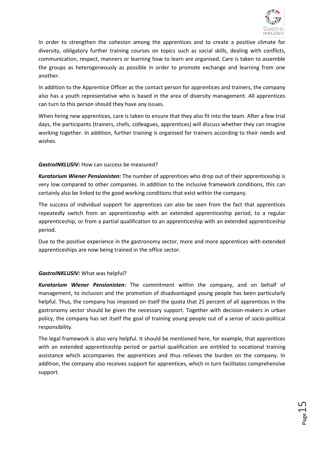

In order to strengthen the cohesion among the apprentices and to create a positive climate for diversity, obligatory further training courses on topics such as social skills, dealing with conflicts, communication, respect, manners or learning how to learn are organised. Care is taken to assemble the groups as heterogeneously as possible in order to promote exchange and learning from one another.

In addition to the Apprentice Officer as the contact person for apprentices and trainers, the company also has a youth representative who is based in the area of diversity management. All apprentices can turn to this person should they have any issues.

When hiring new apprentices, care is taken to ensure that they also fit into the team. After a few trial days, the participants (trainers, chefs, colleagues, apprentices) will discuss whether they can imagine working together. In addition, further training is organised for trainers according to their needs and wishes.

#### *GastroINKLUSIV:* How can success be measured?

*Kuratorium Wiener Pensionisten:* The number of apprentices who drop out of their apprenticeship is very low compared to other companies. In addition to the inclusive framework conditions, this can certainly also be linked to the good working conditions that exist within the company.

The success of individual support for apprentices can also be seen from the fact that apprentices repeatedly switch from an apprenticeship with an extended apprenticeship period, to a regular apprenticeship, or from a partial qualification to an apprenticeship with an extended apprenticeship period.

Due to the positive experience in the gastronomy sector, more and more apprentices with extended apprenticeships are now being trained in the office sector.

## *GastroINKLUSIV:* What was helpful?

*Kuratorium Wiener Pensionisten:* The commitment within the company, and on behalf of management, to inclusion and the promotion of disadvantaged young people has been particularly helpful. Thus, the company has imposed on itself the quota that 25 percent of all apprentices in the gastronomy sector should be given the necessary support. Together with decision-makers in urban policy, the company has set itself the goal of training young people out of a sense of socio-political responsibility.

The legal framework is also very helpful. It should be mentioned here, for example, that apprentices with an extended apprenticeship period or partial qualification are entitled to vocational training assistance which accompanies the apprentices and thus relieves the burden on the company. In addition, the company also receives support for apprentices, which in turn facilitates comprehensive support.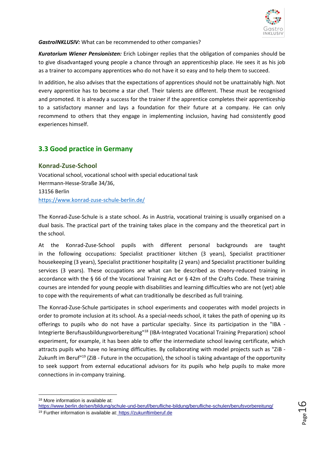

*GastroINKLUSIV:* What can be recommended to other companies?

*Kuratorium Wiener Pensionisten:* Erich Lobinger replies that the obligation of companies should be to give disadvantaged young people a chance through an apprenticeship place. He sees it as his job as a trainer to accompany apprentices who do not have it so easy and to help them to succeed.

In addition, he also advises that the expectations of apprentices should not be unattainably high. Not every apprentice has to become a star chef. Their talents are different. These must be recognised and promoted. It is already a success for the trainer if the apprentice completes their apprenticeship to a satisfactory manner and lays a foundation for their future at a company. He can only recommend to others that they engage in implementing inclusion, having had consistently good experiences himself.

# <span id="page-19-0"></span>**3.3 Good practice in Germany**

## <span id="page-19-1"></span>**Konrad-Zuse-School**

Vocational school, vocational school with special educational task Herrmann-Hesse-Straße 34/36, 13156 Berlin <https://www.konrad-zuse-schule-berlin.de/>

The Konrad-Zuse-Schule is a state school. As in Austria, vocational training is usually organised on a dual basis. The practical part of the training takes place in the company and the theoretical part in the school.

At the Konrad-Zuse-School pupils with different personal backgrounds are taught in the following occupations: Specialist practitioner kitchen (3 years), Specialist practitioner housekeeping (3 years), Specialist practitioner hospitality (2 years) and Specialist practitioner building services (3 years). These occupations are what can be described as theory-reduced training in accordance with the § 66 of the Vocational Training Act or § 42m of the Crafts Code. These training courses are intended for young people with disabilities and learning difficulties who are not (yet) able to cope with the requirements of what can traditionally be described as full training.

The Konrad-Zuse-Schule participates in school experiments and cooperates with model projects in order to promote inclusion at its school. As a special-needs school, it takes the path of opening up its offerings to pupils who do not have a particular specialty. Since its participation in the "IBA - Integrierte Berufsausbildungsvorbereitung"<sup>18</sup> (IBA-Integrated Vocational Training Preparation) school experiment, for example, it has been able to offer the intermediate school leaving certificate, which attracts pupils who have no learning difficulties. By collaborating with model projects such as "ZiB - Zukunft im Beruf<sup>"19</sup> (ZiB - Future in the occupation), the school is taking advantage of the opportunity to seek support from external educational advisors for its pupils who help pupils to make more connections in in-company training.

<sup>1</sup> <sup>18</sup> More information is available at:

https://www.berlin.de/sen/bildung/schule-und-beruf/berufliche-bildung/berufliche-schulen/berufsvorbereitung/

<sup>19</sup> Further information is available at: [https://zukunftimberuf.de](https://zukunftimberuf.de/)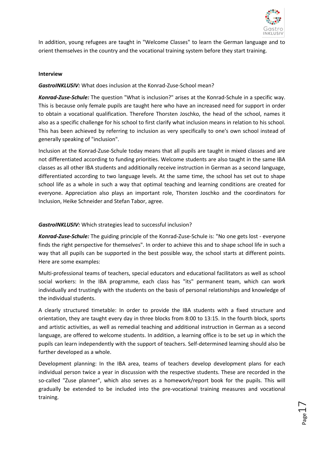

 $_{\rm Page}17$ 

In addition, young refugees are taught in "Welcome Classes" to learn the German language and to orient themselves in the country and the vocational training system before they start training.

#### **Interview**

#### *GastroINKLUSIV:* What does inclusion at the Konrad-Zuse-School mean?

*Konrad-Zuse-Schule:* The question "What is inclusion?" arises at the Konrad-Schule in a specific way. This is because only female pupils are taught here who have an increased need for support in order to obtain a vocational qualification. Therefore Thorsten Joschko, the head of the school, names it also as a specific challenge for his school to first clarify what inclusion means in relation to his school. This has been achieved by referring to inclusion as very specifically to one's own school instead of generally speaking of "inclusion".

Inclusion at the Konrad-Zuse-Schule today means that all pupils are taught in mixed classes and are not differentiated according to funding priorities. Welcome students are also taught in the same IBA classes as all other IBA students and additionally receive instruction in German as a second language, differentiated according to two language levels. At the same time, the school has set out to shape school life as a whole in such a way that optimal teaching and learning conditions are created for everyone. Appreciation also plays an important role, Thorsten Joschko and the coordinators for Inclusion, Heike Schneider and Stefan Tabor, agree.

#### *GastroINKLUSIV:* Which strategies lead to successful inclusion?

*Konrad-Zuse-Schule:* The guiding principle of the Konrad-Zuse-Schule is: "No one gets lost - everyone finds the right perspective for themselves". In order to achieve this and to shape school life in such a way that all pupils can be supported in the best possible way, the school starts at different points. Here are some examples:

Multi-professional teams of teachers, special educators and educational facilitators as well as school social workers: In the IBA programme, each class has "its" permanent team, which can work individually and trustingly with the students on the basis of personal relationships and knowledge of the individual students.

A clearly structured timetable: In order to provide the IBA students with a fixed structure and orientation, they are taught every day in three blocks from 8:00 to 13:15. In the fourth block, sports and artistic activities, as well as remedial teaching and additional instruction in German as a second language, are offered to welcome students. In addition, a learning office is to be set up in which the pupils can learn independently with the support of teachers. Self-determined learning should also be further developed as a whole.

Development planning: In the IBA area, teams of teachers develop development plans for each individual person twice a year in discussion with the respective students. These are recorded in the so-called "Zuse planner", which also serves as a homework/report book for the pupils. This will gradually be extended to be included into the pre-vocational training measures and vocational training.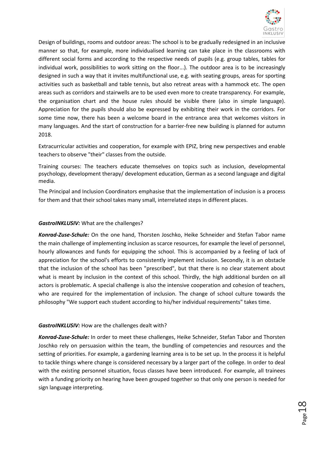

Design of buildings, rooms and outdoor areas: The school is to be gradually redesigned in an inclusive manner so that, for example, more individualised learning can take place in the classrooms with different social forms and according to the respective needs of pupils (e.g. group tables, tables for individual work, possibilities to work sitting on the floor...). The outdoor area is to be increasingly designed in such a way that it invites multifunctional use, e.g. with seating groups, areas for sporting activities such as basketball and table tennis, but also retreat areas with a hammock etc. The open areas such as corridors and stairwells are to be used even more to create transparency. For example, the organisation chart and the house rules should be visible there (also in simple language). Appreciation for the pupils should also be expressed by exhibiting their work in the corridors. For some time now, there has been a welcome board in the entrance area that welcomes visitors in many languages. And the start of construction for a barrier-free new building is planned for autumn 2018.

Extracurricular activities and cooperation, for example with EPIZ, bring new perspectives and enable teachers to observe "their" classes from the outside.

Training courses: The teachers educate themselves on topics such as inclusion, developmental psychology, development therapy/ development education, German as a second language and digital media.

The Principal and Inclusion Coordinators emphasise that the implementation of inclusion is a process for them and that their school takes many small, interrelated steps in different places.

#### *GastroINKLUSIV:* What are the challenges?

*Konrad-Zuse-Schule:* On the one hand, Thorsten Joschko, Heike Schneider and Stefan Tabor name the main challenge of implementing inclusion as scarce resources, for example the level of personnel, hourly allowances and funds for equipping the school. This is accompanied by a feeling of lack of appreciation for the school's efforts to consistently implement inclusion. Secondly, it is an obstacle that the inclusion of the school has been "prescribed", but that there is no clear statement about what is meant by inclusion in the context of this school. Thirdly, the high additional burden on all actors is problematic. A special challenge is also the intensive cooperation and cohesion of teachers, who are required for the implementation of inclusion. The change of school culture towards the philosophy "We support each student according to his/her individual requirements" takes time.

#### *GastroINKLUSIV:* How are the challenges dealt with?

*Konrad-Zuse-Schule:* In order to meet these challenges, Heike Schneider, Stefan Tabor and Thorsten Joschko rely on persuasion within the team, the bundling of competencies and resources and the setting of priorities. For example, a gardening learning area is to be set up. In the process it is helpful to tackle things where change is considered necessary by a larger part of the college. In order to deal with the existing personnel situation, focus classes have been introduced. For example, all trainees with a funding priority on hearing have been grouped together so that only one person is needed for sign language interpreting.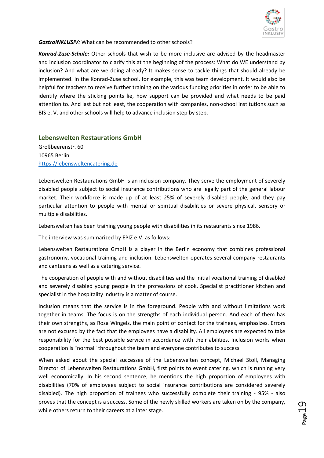

*GastroINKLUSIV:* What can be recommended to other schools?

*Konrad-Zuse-Schule:* Other schools that wish to be more inclusive are advised by the headmaster and inclusion coordinator to clarify this at the beginning of the process: What do WE understand by inclusion? And what are we doing already? It makes sense to tackle things that should already be implemented. In the Konrad-Zuse school, for example, this was team development. It would also be helpful for teachers to receive further training on the various funding priorities in order to be able to identify where the sticking points lie, how support can be provided and what needs to be paid attention to. And last but not least, the cooperation with companies, non-school institutions such as BIS e. V. and other schools will help to advance inclusion step by step.

## <span id="page-22-0"></span>**Lebenswelten Restaurations GmbH**

Großbeerenstr. 60 10965 Berlin [https://lebensweltencatering.de](https://lebensweltencatering.de/)

Lebenswelten Restaurations GmbH is an inclusion company. They serve the employment of severely disabled people subject to social insurance contributions who are legally part of the general labour market. Their workforce is made up of at least 25% of severely disabled people, and they pay particular attention to people with mental or spiritual disabilities or severe physical, sensory or multiple disabilities.

Lebenswelten has been training young people with disabilities in its restaurants since 1986.

The interview was summarized by EPIZ e.V. as follows:

Lebenswelten Restaurations GmbH is a player in the Berlin economy that combines professional gastronomy, vocational training and inclusion. Lebenswelten operates several company restaurants and canteens as well as a catering service.

The cooperation of people with and without disabilities and the initial vocational training of disabled and severely disabled young people in the professions of cook, Specialist practitioner kitchen and specialist in the hospitality industry is a matter of course.

Inclusion means that the service is in the foreground. People with and without limitations work together in teams. The focus is on the strengths of each individual person. And each of them has their own strengths, as Rosa Wingels, the main point of contact for the trainees, emphasizes. Errors are not excused by the fact that the employees have a disability. All employees are expected to take responsibility for the best possible service in accordance with their abilities. Inclusion works when cooperation is "normal" throughout the team and everyone contributes to success.

When asked about the special successes of the Lebenswelten concept, Michael Stoll, Managing Director of Lebenswelten Restaurations GmbH, first points to event catering, which is running very well economically. In his second sentence, he mentions the high proportion of employees with disabilities (70% of employees subject to social insurance contributions are considered severely disabled). The high proportion of trainees who successfully complete their training - 95% - also proves that the concept is a success. Some of the newly skilled workers are taken on by the company, while others return to their careers at a later stage.